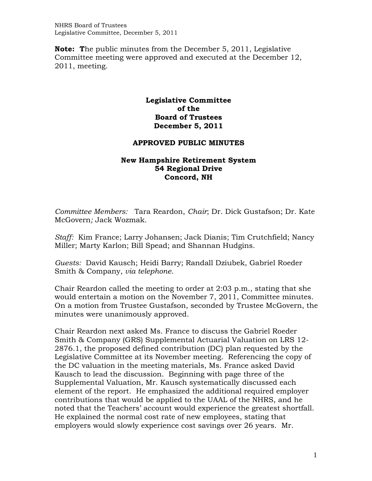NHRS Board of Trustees Legislative Committee, December 5, 2011

**Note: T**he public minutes from the December 5, 2011, Legislative Committee meeting were approved and executed at the December 12, 2011, meeting.

## **Legislative Committee of the Board of Trustees December 5, 2011**

## **APPROVED PUBLIC MINUTES**

## **New Hampshire Retirement System 54 Regional Drive Concord, NH**

*Committee Members:* Tara Reardon, *Chair*; Dr. Dick Gustafson; Dr. Kate McGovern*;* Jack Wozmak*.* 

*Staff:* Kim France; Larry Johansen; Jack Dianis; Tim Crutchfield; Nancy Miller; Marty Karlon; Bill Spead; and Shannan Hudgins.

*Guests:* David Kausch; Heidi Barry; Randall Dziubek, Gabriel Roeder Smith & Company, *via telephone.* 

Chair Reardon called the meeting to order at 2:03 p.m., stating that she would entertain a motion on the November 7, 2011, Committee minutes. On a motion from Trustee Gustafson, seconded by Trustee McGovern, the minutes were unanimously approved.

Chair Reardon next asked Ms. France to discuss the Gabriel Roeder Smith & Company (GRS) Supplemental Actuarial Valuation on LRS 12- 2876.1, the proposed defined contribution (DC) plan requested by the Legislative Committee at its November meeting. Referencing the copy of the DC valuation in the meeting materials, Ms. France asked David Kausch to lead the discussion. Beginning with page three of the Supplemental Valuation, Mr. Kausch systematically discussed each element of the report. He emphasized the additional required employer contributions that would be applied to the UAAL of the NHRS, and he noted that the Teachers' account would experience the greatest shortfall. He explained the normal cost rate of new employees, stating that employers would slowly experience cost savings over 26 years. Mr.